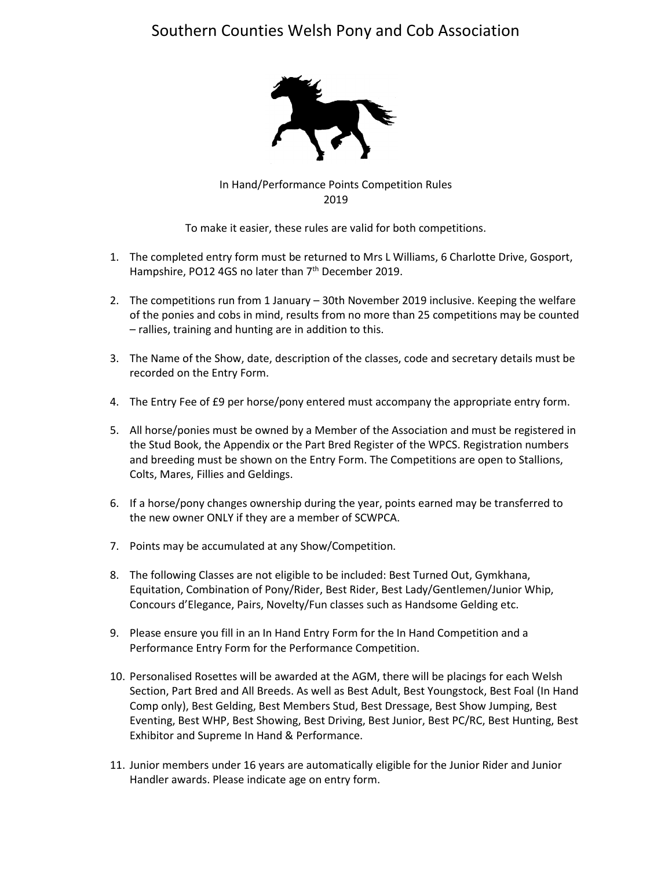## Southern Counties Welsh Pony and Cob Association



In Hand/Performance Points Competition Rules 2019

To make it easier, these rules are valid for both competitions.

- 1. The completed entry form must be returned to Mrs L Williams, 6 Charlotte Drive, Gosport, Hampshire, PO12 4GS no later than 7<sup>th</sup> December 2019.
- 2. The competitions run from 1 January 30th November 2019 inclusive. Keeping the welfare of the ponies and cobs in mind, results from no more than 25 competitions may be counted – rallies, training and hunting are in addition to this.
- 3. The Name of the Show, date, description of the classes, code and secretary details must be recorded on the Entry Form.
- 4. The Entry Fee of £9 per horse/pony entered must accompany the appropriate entry form.
- 5. All horse/ponies must be owned by a Member of the Association and must be registered in the Stud Book, the Appendix or the Part Bred Register of the WPCS. Registration numbers and breeding must be shown on the Entry Form. The Competitions are open to Stallions, Colts, Mares, Fillies and Geldings.
- 6. If a horse/pony changes ownership during the year, points earned may be transferred to the new owner ONLY if they are a member of SCWPCA.
- 7. Points may be accumulated at any Show/Competition.
- 8. The following Classes are not eligible to be included: Best Turned Out, Gymkhana, Equitation, Combination of Pony/Rider, Best Rider, Best Lady/Gentlemen/Junior Whip, Concours d'Elegance, Pairs, Novelty/Fun classes such as Handsome Gelding etc.
- 9. Please ensure you fill in an In Hand Entry Form for the In Hand Competition and a Performance Entry Form for the Performance Competition.
- 10. Personalised Rosettes will be awarded at the AGM, there will be placings for each Welsh Section, Part Bred and All Breeds. As well as Best Adult, Best Youngstock, Best Foal (In Hand Comp only), Best Gelding, Best Members Stud, Best Dressage, Best Show Jumping, Best Eventing, Best WHP, Best Showing, Best Driving, Best Junior, Best PC/RC, Best Hunting, Best Exhibitor and Supreme In Hand & Performance.
- 11. Junior members under 16 years are automatically eligible for the Junior Rider and Junior Handler awards. Please indicate age on entry form.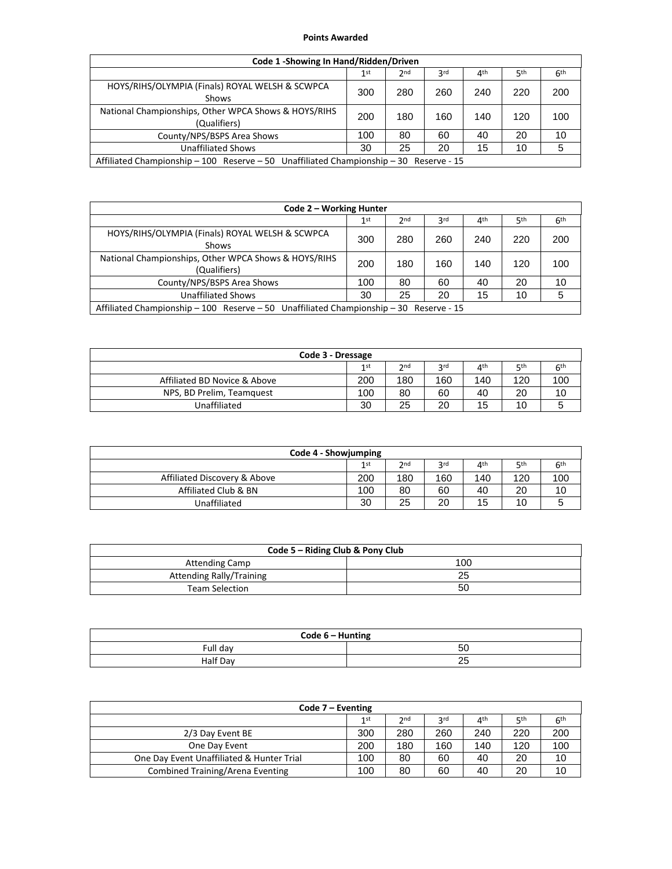## **Points Awarded**

| Code 1 - Showing In Hand/Ridden/Driven                                                 |     |                 |                 |                 |                 |                 |
|----------------------------------------------------------------------------------------|-----|-----------------|-----------------|-----------------|-----------------|-----------------|
|                                                                                        | 1st | 2 <sub>nd</sub> | 3 <sup>rd</sup> | 4 <sup>th</sup> | 5 <sup>th</sup> | 6 <sup>th</sup> |
| HOYS/RIHS/OLYMPIA (Finals) ROYAL WELSH & SCWPCA<br>Shows                               | 300 | 280             | 260             | 240             | 220             | 200             |
| National Championships, Other WPCA Shows & HOYS/RIHS<br>(Qualifiers)                   | 200 | 180             | 160             | 140             | 120             | 100             |
| County/NPS/BSPS Area Shows                                                             | 100 | 80              | 60              | 40              | 20              | 10              |
| <b>Unaffiliated Shows</b>                                                              | 30  | 25              | 20              | 15              | 10              | 5               |
| Affiliated Championship - 100 Reserve - 50 Unaffiliated Championship - 30 Reserve - 15 |     |                 |                 |                 |                 |                 |

| Code 2 – Working Hunter                                                                |     |                 |                 |                 |                 |                 |
|----------------------------------------------------------------------------------------|-----|-----------------|-----------------|-----------------|-----------------|-----------------|
|                                                                                        | 1st | 2 <sub>nd</sub> | 3 <sup>rd</sup> | 4 <sup>th</sup> | 5 <sup>th</sup> | 6 <sup>th</sup> |
| HOYS/RIHS/OLYMPIA (Finals) ROYAL WELSH & SCWPCA<br>Shows                               | 300 | 280             | 260             | 240             | 220             | 200             |
| National Championships, Other WPCA Shows & HOYS/RIHS<br>(Qualifiers)                   | 200 | 180             | 160             | 140             | 120             | 100             |
| County/NPS/BSPS Area Shows                                                             | 100 | 80              | 60              | 40              | 20              | 10              |
| <b>Unaffiliated Shows</b>                                                              | 30  | 25              | 20              | 15              | 10              | 5               |
| Affiliated Championship - 100 Reserve - 50 Unaffiliated Championship - 30 Reserve - 15 |     |                 |                 |                 |                 |                 |

| Code 3 - Dressage            |      |     |     |     |             |                 |
|------------------------------|------|-----|-----|-----|-------------|-----------------|
|                              | 1 st | 2nd | 2rd | ⊿th | <b>қ</b> th | 6 <sup>th</sup> |
| Affiliated BD Novice & Above | 200  | 180 | 160 | 140 | 120         | 100             |
| NPS, BD Prelim, Teamquest    | 100  | 80  | 60  | 40  | 20          | 10              |
| Unaffiliated                 | 30   | 25  | 20  | 15  | 10          | э               |

| Code 4 - Showjumping         |     |     |            |     |            |                 |
|------------------------------|-----|-----|------------|-----|------------|-----------------|
|                              | 1st | 2nd | <b>2rd</b> | ⊿th | <b>қth</b> | 6 <sup>th</sup> |
| Affiliated Discovery & Above | 200 | 180 | 160        | 140 | 120        | 100             |
| Affiliated Club & BN         | 100 | 80  | 60         | 40  | 20         | 10              |
| Unaffiliated                 | 30  | 25  | 20         | 15  | 10         | э               |

| Code 5 – Riding Club & Pony Club |     |  |  |  |  |
|----------------------------------|-----|--|--|--|--|
| <b>Attending Camp</b>            | 100 |  |  |  |  |
| <b>Attending Rally/Training</b>  |     |  |  |  |  |
| <b>Team Selection</b>            | 50  |  |  |  |  |

| Code 6 - Hunting |          |  |  |  |  |
|------------------|----------|--|--|--|--|
| Full day         | 50       |  |  |  |  |
| Half Day         | つら<br>ΔU |  |  |  |  |

| Code $7$ – Eventing                       |     |                 |                 |     |     |                 |
|-------------------------------------------|-----|-----------------|-----------------|-----|-----|-----------------|
|                                           | 1st | 2 <sub>nd</sub> | 3 <sub>rd</sub> | ⊿th | цth | 6 <sup>th</sup> |
| 2/3 Day Event BE                          | 300 | 280             | 260             | 240 | 220 | 200             |
| One Dav Event                             | 200 | 180             | 160             | 140 | 120 | 100             |
| One Day Event Unaffiliated & Hunter Trial | 100 | 80              | 60              | 40  | 20  | 10              |
| Combined Training/Arena Eventing          | 100 | 80              | 60              | 40  | 20  | 10              |